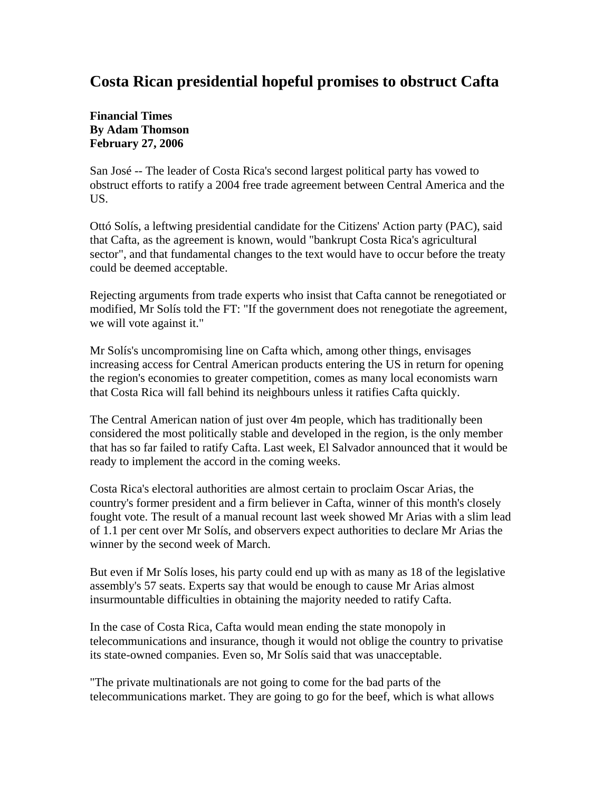## **Costa Rican presidential hopeful promises to obstruct Cafta**

**Financial Times By Adam Thomson February 27, 2006** 

San José -- The leader of Costa Rica's second largest political party has vowed to obstruct efforts to ratify a 2004 free trade agreement between Central America and the US.

Ottó Solís, a leftwing presidential candidate for the Citizens' Action party (PAC), said that Cafta, as the agreement is known, would "bankrupt Costa Rica's agricultural sector", and that fundamental changes to the text would have to occur before the treaty could be deemed acceptable.

Rejecting arguments from trade experts who insist that Cafta cannot be renegotiated or modified, Mr Solís told the FT: "If the government does not renegotiate the agreement, we will vote against it."

Mr Solís's uncompromising line on Cafta which, among other things, envisages increasing access for Central American products entering the US in return for opening the region's economies to greater competition, comes as many local economists warn that Costa Rica will fall behind its neighbours unless it ratifies Cafta quickly.

The Central American nation of just over 4m people, which has traditionally been considered the most politically stable and developed in the region, is the only member that has so far failed to ratify Cafta. Last week, El Salvador announced that it would be ready to implement the accord in the coming weeks.

Costa Rica's electoral authorities are almost certain to proclaim Oscar Arias, the country's former president and a firm believer in Cafta, winner of this month's closely fought vote. The result of a manual recount last week showed Mr Arias with a slim lead of 1.1 per cent over Mr Solís, and observers expect authorities to declare Mr Arias the winner by the second week of March.

But even if Mr Solís loses, his party could end up with as many as 18 of the legislative assembly's 57 seats. Experts say that would be enough to cause Mr Arias almost insurmountable difficulties in obtaining the majority needed to ratify Cafta.

In the case of Costa Rica, Cafta would mean ending the state monopoly in telecommunications and insurance, though it would not oblige the country to privatise its state-owned companies. Even so, Mr Solís said that was unacceptable.

"The private multinationals are not going to come for the bad parts of the telecommunications market. They are going to go for the beef, which is what allows